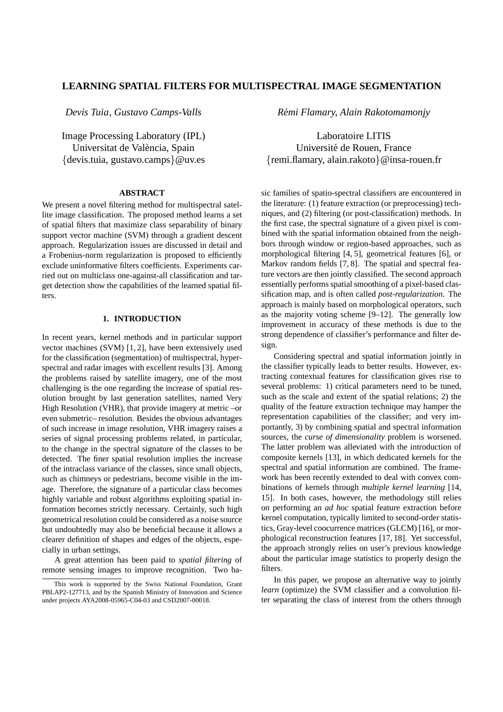# **LEARNING SPATIAL FILTERS FOR MULTISPECTRAL IMAGE SEGMENTATION**

*Devis Tuia, Gustavo Camps-Valls*

Image Processing Laboratory (IPL) Universitat de València, Spain {devis.tuia, gustavo.camps}@uv.es

## **ABSTRACT**

We present a novel filtering method for multispectral satellite image classification. The proposed method learns a set of spatial filters that maximize class separability of binary support vector machine (SVM) through a gradient descent approach. Regularization issues are discussed in detail and a Frobenius-norm regularization is proposed to efficiently exclude uninformative filters coefficients. Experiments carried out on multiclass one-against-all classification and target detection show the capabilities of the learned spatial filters.

# **1. INTRODUCTION**

In recent years, kernel methods and in particular support vector machines (SVM) [1, 2], have been extensively used for the classification (segmentation) of multispectral, hyperspectral and radar images with excellent results [3]. Among the problems raised by satellite imagery, one of the most challenging is the one regarding the increase of spatial resolution brought by last generation satellites, named Very High Resolution (VHR), that provide imagery at metric –or even submetric– resolution. Besides the obvious advantages of such increase in image resolution, VHR imagery raises a series of signal processing problems related, in particular, to the change in the spectral signature of the classes to be detected. The finer spatial resolution implies the increase of the intraclass variance of the classes, since small objects, such as chimneys or pedestrians, become visible in the image. Therefore, the signature of a particular class becomes highly variable and robust algorithms exploiting spatial information becomes strictly necessary. Certainly, such high geometrical resolution could be considered as a noise source but undoubtedly may also be beneficial because it allows a clearer definition of shapes and edges of the objects, especially in urban settings.

A great attention has been paid to *spatial filtering* of remote sensing images to improve recognition. Two ba*Remi Flamary, Alain Rakotomamonjy ´*

Laboratoire LITIS Universite de Rouen, France ´ {remi.flamary, alain.rakoto}@insa-rouen.fr

sic families of spatio-spectral classifiers are encountered in the literature: (1) feature extraction (or preprocessing) techniques, and (2) filtering (or post-classification) methods. In the first case, the spectral signature of a given pixel is combined with the spatial information obtained from the neighbors through window or region-based approaches, such as morphological filtering [4, 5], geometrical features [6], or Markov random fields [7, 8]. The spatial and spectral feature vectors are then jointly classified. The second approach essentially performs spatial smoothing of a pixel-based classification map, and is often called *post-regularization*. The approach is mainly based on morphological operators, such as the majority voting scheme [9–12]. The generally low improvement in accuracy of these methods is due to the strong dependence of classifier's performance and filter design.

Considering spectral and spatial information jointly in the classifier typically leads to better results. However, extracting contextual features for classification gives rise to several problems: 1) critical parameters need to be tuned, such as the scale and extent of the spatial relations; 2) the quality of the feature extraction technique may hamper the representation capabilities of the classifier; and very importantly, 3) by combining spatial and spectral information sources, the *curse of dimensionality* problem is worsened. The latter problem was alleviated with the introduction of composite kernels [13], in which dedicated kernels for the spectral and spatial information are combined. The framework has been recently extended to deal with convex combinations of kernels through *multiple kernel learning* [14, 15]. In both cases, however, the methodology still relies on performing an *ad hoc* spatial feature extraction before kernel computation, typically limited to second-order statistics, Gray-level coocurrence matrices (GLCM) [16], or morphological reconstruction features [17, 18]. Yet successful, the approach strongly relies on user's previous knowledge about the particular image statistics to properly design the filters.

In this paper, we propose an alternative way to jointly *learn* (optimize) the SVM classifier and a convolution filter separating the class of interest from the others through

This work is supported by the Swiss National Foundation, Grant PBLAP2-127713, and by the Spanish Ministry of Innovation and Science under projects AYA2008-05965-C04-03 and CSD2007-00018.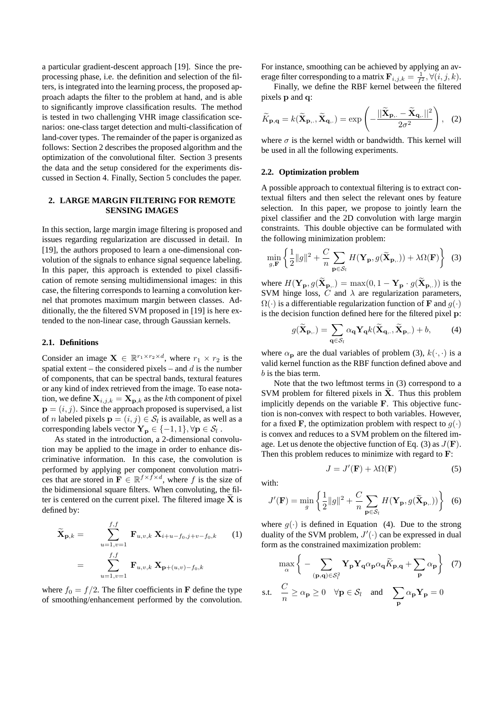a particular gradient-descent approach [19]. Since the preprocessing phase, i.e. the definition and selection of the filters, is integrated into the learning process, the proposed approach adapts the filter to the problem at hand, and is able to significantly improve classification results. The method is tested in two challenging VHR image classification scenarios: one-class target detection and multi-classification of land-cover types. The remainder of the paper is organized as follows: Section 2 describes the proposed algorithm and the optimization of the convolutional filter. Section 3 presents the data and the setup considered for the experiments discussed in Section 4. Finally, Section 5 concludes the paper.

## **2. LARGE MARGIN FILTERING FOR REMOTE SENSING IMAGES**

In this section, large margin image filtering is proposed and issues regarding regularization are discussed in detail. In [19], the authors proposed to learn a one-dimensional convolution of the signals to enhance signal sequence labeling. In this paper, this approach is extended to pixel classification of remote sensing multidimensional images: in this case, the filtering corresponds to learning a convolution kernel that promotes maximum margin between classes. Additionally, the the filtered SVM proposed in [19] is here extended to the non-linear case, through Gaussian kernels.

#### **2.1. Definitions**

Consider an image  $\mathbf{X} \in \mathbb{R}^{r_1 \times r_2 \times d}$ , where  $r_1 \times r_2$  is the spatial extent – the considered pixels – and  $d$  is the number of components, that can be spectral bands, textural features or any kind of index retrieved from the image. To ease notation, we define  $X_{i,j,k} = X_{p,k}$  as the kth component of pixel  $\mathbf{p} = (i, j)$ . Since the approach proposed is supervised, a list of *n* labeled pixels  $\mathbf{p} = (i, j) \in S_l$  is available, as well as a corresponding labels vector  $\mathbf{Y_p} \in \{-1, 1\}, \forall \mathbf{p} \in \mathcal{S}_l$  .

As stated in the introduction, a 2-dimensional convolution may be applied to the image in order to enhance discriminative information. In this case, the convolution is performed by applying per component convolution matrices that are stored in  $\mathbf{F} \in \mathbb{R}^{f \times f \times d}$ , where f is the size of the bidimensional square filters. When convoluting, the filter is centered on the current pixel. The filtered image  $X$  is defined by:

$$
\widetilde{\mathbf{X}}_{\mathbf{p},k} = \sum_{u=1,v=1}^{f,f} \mathbf{F}_{u,v,k} \mathbf{X}_{i+u-f_0,j+v-f_0,k} \qquad (1)
$$
\n
$$
= \sum_{u=1,v=1}^{f,f} \mathbf{F}_{u,v,k} \mathbf{X}_{\mathbf{p}+(u,v)-f_0,k}
$$

where  $f_0 = f/2$ . The filter coefficients in **F** define the type of smoothing/enhancement performed by the convolution.

For instance, smoothing can be achieved by applying an average filter corresponding to a matrix  $\mathbf{F}_{i,j,k} = \frac{1}{f^2}, \forall (i,j,k).$ 

Finally, we define the RBF kernel between the filtered pixels p and q:

$$
\widetilde{K}_{\mathbf{p},\mathbf{q}} = k(\widetilde{\mathbf{X}}_{\mathbf{p},\cdot}, \widetilde{\mathbf{X}}_{\mathbf{q},\cdot}) = \exp\left(-\frac{||\widetilde{\mathbf{X}}_{\mathbf{p},\cdot} - \widetilde{\mathbf{X}}_{\mathbf{q},\cdot}||^2}{2\sigma^2}\right), \quad (2)
$$

where  $\sigma$  is the kernel width or bandwidth. This kernel will be used in all the following experiments.

### **2.2. Optimization problem**

A possible approach to contextual filtering is to extract contextual filters and then select the relevant ones by feature selection. In this paper, we propose to jointly learn the pixel classifier and the 2D convolution with large margin constraints. This double objective can be formulated with the following minimization problem:

$$
\min_{g, \mathbf{F}} \left\{ \frac{1}{2} ||g||^2 + \frac{C}{n} \sum_{\mathbf{p} \in \mathcal{S}_l} H(\mathbf{Y}_{\mathbf{p}}, g(\widetilde{\mathbf{X}}_{\mathbf{p},.})) + \lambda \Omega(\mathbf{F}) \right\}
$$
(3)

where  $H(\mathbf{Y_p}, g(\widetilde{\mathbf{X}}_{\mathbf{p},\cdot}) = \max(0, 1 - \mathbf{Y_p} \cdot g(\widetilde{\mathbf{X}}_{\mathbf{p},\cdot}) )$  is the SVM hinge loss,  $\overline{C}$  and  $\lambda$  are regularization parameters,  $\Omega(\cdot)$  is a differentiable regularization function of **F** and  $q(\cdot)$ is the decision function defined here for the filtered pixel p:

$$
g(\widetilde{\mathbf{X}}_{\mathbf{p},.}) = \sum_{\mathbf{q} \in \mathcal{S}_l} \alpha_{\mathbf{q}} \mathbf{Y}_{\mathbf{q}} k(\widetilde{\mathbf{X}}_{\mathbf{q},.}, \widetilde{\mathbf{X}}_{\mathbf{p},.}) + b,\tag{4}
$$

where  $\alpha_{\bf p}$  are the dual variables of problem (3),  $k(\cdot, \cdot)$  is a valid kernel function as the RBF function defined above and b is the bias term.

Note that the two leftmost terms in (3) correspond to a SVM problem for filtered pixels in  $X$ . Thus this problem implicitly depends on the variable **. This objective func**tion is non-convex with respect to both variables. However, for a fixed **F**, the optimization problem with respect to  $q(\cdot)$ is convex and reduces to a SVM problem on the filtered image. Let us denote the objective function of Eq. (3) as  $J(\mathbf{F})$ . Then this problem reduces to minimize with regard to F:

$$
J = J'(\mathbf{F}) + \lambda \Omega(\mathbf{F}) \tag{5}
$$

with:

s.t.

$$
J'(\mathbf{F}) = \min_{g} \left\{ \frac{1}{2} ||g||^2 + \frac{C}{n} \sum_{\mathbf{p} \in \mathcal{S}_l} H(\mathbf{Y}_{\mathbf{p}}, g(\widetilde{\mathbf{X}}_{\mathbf{p},.})) \right\}
$$
(6)

where  $g(\cdot)$  is defined in Equation (4). Due to the strong duality of the SVM problem,  $J'(\cdot)$  can be expressed in dual form as the constrained maximization problem:

$$
\max_{\alpha} \left\{ -\sum_{(\mathbf{p}, \mathbf{q}) \in \mathcal{S}_l^2} \mathbf{Y}_{\mathbf{p}} \mathbf{Y}_{\mathbf{q}} \alpha_{\mathbf{p}} \alpha_{\mathbf{q}} \widetilde{K}_{\mathbf{p}, \mathbf{q}} + \sum_{\mathbf{p}} \alpha_{\mathbf{p}} \right\} (7)
$$
  
.t.  $\frac{C}{n} \ge \alpha_{\mathbf{p}} \ge 0 \quad \forall \mathbf{p} \in \mathcal{S}_l \text{ and } \sum_{\mathbf{p}} \alpha_{\mathbf{p}} \mathbf{Y}_{\mathbf{p}} = 0$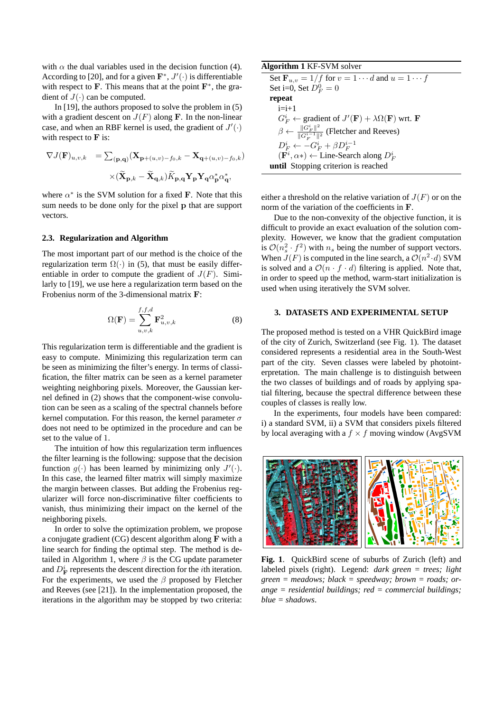with  $\alpha$  the dual variables used in the decision function (4). According to [20], and for a given  $\mathbf{F}^*, J'(\cdot)$  is differentiable with respect to  $\mathbf{F}$ . This means that at the point  $\mathbf{F}^*$ , the gradient of  $J(\cdot)$  can be computed.

In [19], the authors proposed to solve the problem in (5) with a gradient descent on  $J(F)$  along **F**. In the non-linear case, and when an RBF kernel is used, the gradient of  $J'(\cdot)$ with respect to  $\bf{F}$  is:

$$
\begin{array}{ll}\nabla J(\mathbf{F})_{u,v,k}&=\sum_{(\mathbf{p},\mathbf{q})}(\mathbf{X}_{\mathbf{p}+(u,v)-f_0,k}-\mathbf{X}_{\mathbf{q}+(u,v)-f_0,k})\\ \\ &\times(\widetilde{\mathbf{X}}_{\mathbf{p},k}-\widetilde{\mathbf{X}}_{\mathbf{q},k})\widetilde{K}_{\mathbf{p},\mathbf{q}}\mathbf{Y}_{\mathbf{p}}\mathbf{Y}_{\mathbf{q}}\alpha_{\mathbf{p}}^*\alpha_{\mathbf{q}}^*,\end{array}
$$

where  $\alpha^*$  is the SVM solution for a fixed F. Note that this sum needs to be done only for the pixel p that are support vectors.

#### **2.3. Regularization and Algorithm**

The most important part of our method is the choice of the regularization term  $\Omega(\cdot)$  in (5), that must be easily differentiable in order to compute the gradient of  $J(F)$ . Similarly to [19], we use here a regularization term based on the Frobenius norm of the 3-dimensional matrix F:

$$
\Omega(\mathbf{F}) = \sum_{u,v,k}^{f,f,d} \mathbf{F}_{u,v,k}^2
$$
\n(8)

This regularization term is differentiable and the gradient is easy to compute. Minimizing this regularization term can be seen as minimizing the filter's energy. In terms of classification, the filter matrix can be seen as a kernel parameter weighting neighboring pixels. Moreover, the Gaussian kernel defined in (2) shows that the component-wise convolution can be seen as a scaling of the spectral channels before kernel computation. For this reason, the kernel parameter  $\sigma$ does not need to be optimized in the procedure and can be set to the value of 1.

The intuition of how this regularization term influences the filter learning is the following: suppose that the decision function  $g(\cdot)$  has been learned by minimizing only  $J'(\cdot)$ . In this case, the learned filter matrix will simply maximize the margin between classes. But adding the Frobenius regularizer will force non-discriminative filter coefficients to vanish, thus minimizing their impact on the kernel of the neighboring pixels.

In order to solve the optimization problem, we propose a conjugate gradient (CG) descent algorithm along F with a line search for finding the optimal step. The method is detailed in Algorithm 1, where  $\beta$  is the CG update parameter and  $D_{\mathbf{F}}^i$  represents the descent direction for the *i*th iteration. For the experiments, we used the  $\beta$  proposed by Fletcher and Reeves (see [21]). In the implementation proposed, the iterations in the algorithm may be stopped by two criteria:

| Algorithm 1 KF-SVM solver                                                                  |
|--------------------------------------------------------------------------------------------|
| Set $\mathbf{F}_{u,v} = 1/f$ for $v = 1 \cdots d$ and $u = 1 \cdots f$                     |
| Set i=0, Set $D_F^0 = 0$                                                                   |
| repeat                                                                                     |
| $i=i+1$                                                                                    |
| $G_F^i \leftarrow$ gradient of $J'(\mathbf{F}) + \lambda \Omega(\mathbf{F})$ wrt. <b>F</b> |
| $\beta \leftarrow \frac{\ G_F^i\ ^2}{\ G_F^{i-1}\ ^2}$ (Fletcher and Reeves)               |
| $D_F^i \leftarrow -G_F^i + \beta D_F^{i-1}$                                                |
| $(\mathbf{F}^i, \alpha^*) \leftarrow$ Line-Search along $D_F^i$                            |
| until Stopping criterion is reached                                                        |

either a threshold on the relative variation of  $J(F)$  or on the norm of the variation of the coefficients in F.

Due to the non-convexity of the objective function, it is difficult to provide an exact evaluation of the solution complexity. However, we know that the gradient computation is  $\mathcal{O}(n_s^2 \cdot f^2)$  with  $n_s$  being the number of support vectors. When  $J(F)$  is computed in the line search, a  $\mathcal{O}(n^2 \cdot d)$  SVM is solved and a  $\mathcal{O}(n \cdot f \cdot d)$  filtering is applied. Note that, in order to speed up the method, warm-start initialization is used when using iteratively the SVM solver.

#### **3. DATASETS AND EXPERIMENTAL SETUP**

The proposed method is tested on a VHR QuickBird image of the city of Zurich, Switzerland (see Fig. 1). The dataset considered represents a residential area in the South-West part of the city. Seven classes were labeled by photointerpretation. The main challenge is to distinguish between the two classes of buildings and of roads by applying spatial filtering, because the spectral difference between these couples of classes is really low.

In the experiments, four models have been compared: i) a standard SVM, ii) a SVM that considers pixels filtered by local averaging with a  $f \times f$  moving window (AvgSVM



**Fig. 1**. QuickBird scene of suburbs of Zurich (left) and labeled pixels (right). Legend: *dark green = trees; light green = meadows; black = speedway; brown = roads; orange = residential buildings; red = commercial buildings; blue = shadows*.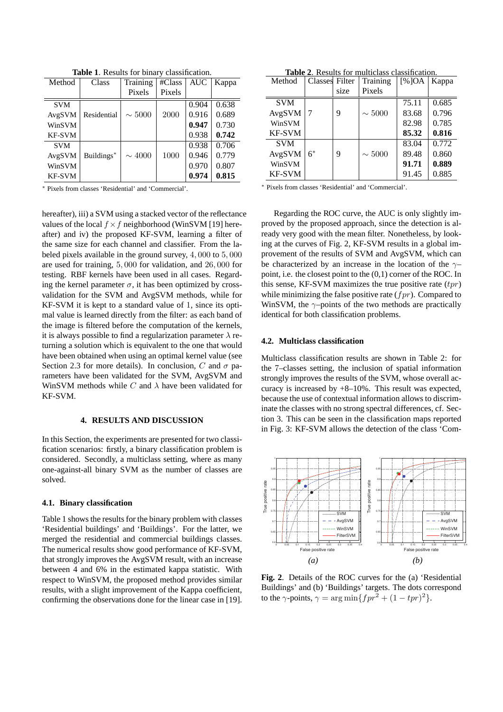| Method        | Class       | Training    | #Class | <b>AUC</b> | Kappa |
|---------------|-------------|-------------|--------|------------|-------|
|               |             | Pixels      | Pixels |            |       |
| <b>SVM</b>    |             |             |        | 0.904      | 0.638 |
| AvgSVM        | Residential | $\sim 5000$ | 2000   | 0.916      | 0.689 |
| WinSVM        |             |             |        | 0.947      | 0.730 |
| <b>KF-SVM</b> |             |             |        | 0.938      | 0.742 |
| <b>SVM</b>    |             |             |        | 0.938      | 0.706 |
| AvgSVM        | Buildings*  | $\sim 4000$ | 1000   | 0.946      | 0.779 |
| WinSVM        |             |             |        | 0.970      | 0.807 |
| <b>KF-SVM</b> |             |             |        | 0.974      | 0.815 |

**Table 1**. Results for binary classification.

<sup>∗</sup> Pixels from classes 'Residential' and 'Commercial'.

hereafter), iii) a SVM using a stacked vector of the reflectance values of the local  $f \times f$  neighborhood (WinSVM [19] hereafter) and iv) the proposed KF-SVM, learning a filter of the same size for each channel and classifier. From the labeled pixels available in the ground survey, 4, 000 to 5, 000 are used for training, 5, 000 for validation, and 26, 000 for testing. RBF kernels have been used in all cases. Regarding the kernel parameter  $\sigma$ , it has been optimized by crossvalidation for the SVM and AvgSVM methods, while for KF-SVM it is kept to a standard value of 1, since its optimal value is learned directly from the filter: as each band of the image is filtered before the computation of the kernels, it is always possible to find a regularization parameter  $\lambda$  returning a solution which is equivalent to the one that would have been obtained when using an optimal kernel value (see Section 2.3 for more details). In conclusion, C and  $\sigma$  parameters have been validated for the SVM, AvgSVM and WinSVM methods while C and  $\lambda$  have been validated for KF-SVM.

### **4. RESULTS AND DISCUSSION**

In this Section, the experiments are presented for two classification scenarios: firstly, a binary classification problem is considered. Secondly, a multiclass setting, where as many one-against-all binary SVM as the number of classes are solved.

## **4.1. Binary classification**

Table 1 shows the results for the binary problem with classes 'Residential buildings' and 'Buildings'. For the latter, we merged the residential and commercial buildings classes. The numerical results show good performance of KF-SVM, that strongly improves the AvgSVM result, with an increase between 4 and 6% in the estimated kappa statistic. With respect to WinSVM, the proposed method provides similar results, with a slight improvement of the Kappa coefficient, confirming the observations done for the linear case in [19].

|  |  |  | <b>Table 2.</b> Results for multiclass classification. |  |
|--|--|--|--------------------------------------------------------|--|
|  |  |  |                                                        |  |

| Method        | Classes Filter |      | Training    | [%]OA | Kappa |
|---------------|----------------|------|-------------|-------|-------|
|               |                | size | Pixels      |       |       |
| <b>SVM</b>    |                |      |             | 75.11 | 0.685 |
| AvgSVM        |                | 9    | $\sim 5000$ | 83.68 | 0.796 |
| WinSVM        |                |      |             | 82.98 | 0.785 |
| <b>KF-SVM</b> |                |      |             | 85.32 | 0.816 |
| <b>SVM</b>    |                |      |             | 83.04 | 0.772 |
| AvgSVM        | $6*$           | 9    | $\sim 5000$ | 89.48 | 0.860 |
| WinSVM        |                |      |             | 91.71 | 0.889 |
| <b>KF-SVM</b> |                |      |             | 91.45 | 0.885 |

<sup>∗</sup> Pixels from classes 'Residential' and 'Commercial'.

Regarding the ROC curve, the AUC is only slightly improved by the proposed approach, since the detection is already very good with the mean filter. Nonetheless, by looking at the curves of Fig. 2, KF-SVM results in a global improvement of the results of SVM and AvgSVM, which can be characterized by an increase in the location of the  $\gamma$ point, i.e. the closest point to the (0,1) corner of the ROC. In this sense, KF-SVM maximizes the true positive rate  $(tpr)$ while minimizing the false positive rate  $(fpr)$ . Compared to WinSVM, the  $\gamma$ -points of the two methods are practically identical for both classification problems.

#### **4.2. Multiclass classification**

Multiclass classification results are shown in Table 2: for the 7–classes setting, the inclusion of spatial information strongly improves the results of the SVM, whose overall accuracy is increased by +8–10%. This result was expected, because the use of contextual information allows to discriminate the classes with no strong spectral differences, cf. Section 3. This can be seen in the classification maps reported in Fig. 3: KF-SVM allows the detection of the class 'Com-



**Fig. 2**. Details of the ROC curves for the (a) 'Residential Buildings' and (b) 'Buildings' targets. The dots correspond to the  $\gamma$ -points,  $\gamma = \arg \min \{ fpr^2 + (1 - tpr)^2 \}.$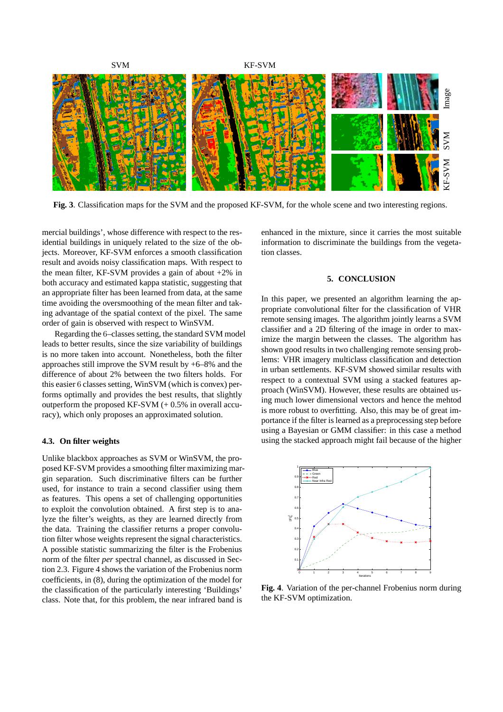

**Fig. 3**. Classification maps for the SVM and the proposed KF-SVM, for the whole scene and two interesting regions.

mercial buildings', whose difference with respect to the residential buildings in uniquely related to the size of the objects. Moreover, KF-SVM enforces a smooth classification result and avoids noisy classification maps. With respect to the mean filter, KF-SVM provides a gain of about +2% in both accuracy and estimated kappa statistic, suggesting that an appropriate filter has been learned from data, at the same time avoiding the oversmoothing of the mean filter and taking advantage of the spatial context of the pixel. The same order of gain is observed with respect to WinSVM.

Regarding the 6–classes setting, the standard SVM model leads to better results, since the size variability of buildings is no more taken into account. Nonetheless, both the filter approaches still improve the SVM result by +6–8% and the difference of about 2% between the two filters holds. For this easier 6 classes setting, WinSVM (which is convex) performs optimally and provides the best results, that slightly outperform the proposed KF-SVM  $(+ 0.5\%$  in overall accuracy), which only proposes an approximated solution.

#### **4.3. On filter weights**

Unlike blackbox approaches as SVM or WinSVM, the proposed KF-SVM provides a smoothing filter maximizing margin separation. Such discriminative filters can be further used, for instance to train a second classifier using them as features. This opens a set of challenging opportunities to exploit the convolution obtained. A first step is to analyze the filter's weights, as they are learned directly from the data. Training the classifier returns a proper convolution filter whose weights represent the signal characteristics. A possible statistic summarizing the filter is the Frobenius norm of the filter *per* spectral channel, as discussed in Section 2.3. Figure 4 shows the variation of the Frobenius norm coefficients, in (8), during the optimization of the model for the classification of the particularly interesting 'Buildings' class. Note that, for this problem, the near infrared band is

enhanced in the mixture, since it carries the most suitable information to discriminate the buildings from the vegetation classes.

## **5. CONCLUSION**

In this paper, we presented an algorithm learning the appropriate convolutional filter for the classification of VHR remote sensing images. The algorithm jointly learns a SVM classifier and a 2D filtering of the image in order to maximize the margin between the classes. The algorithm has shown good results in two challenging remote sensing problems: VHR imagery multiclass classification and detection in urban settlements. KF-SVM showed similar results with respect to a contextual SVM using a stacked features approach (WinSVM). However, these results are obtained using much lower dimensional vectors and hence the mehtod is more robust to overfitting. Also, this may be of great importance if the filter is learned as a preprocessing step before using a Bayesian or GMM classifier: in this case a method using the stacked approach might fail because of the higher



**Fig. 4**. Variation of the per-channel Frobenius norm during the KF-SVM optimization.